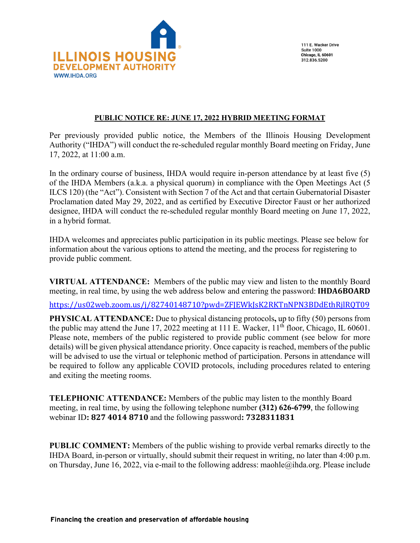

111 E. Wacker Drive **Suite 1000 Chicago, IL 60601** 312.836.5200

## **PUBLIC NOTICE RE: JUNE 17, 2022 HYBRID MEETING FORMAT**

Per previously provided public notice, the Members of the Illinois Housing Development Authority ("IHDA") will conduct the re-scheduled regular monthly Board meeting on Friday, June 17, 2022, at 11:00 a.m.

In the ordinary course of business, IHDA would require in-person attendance by at least five (5) of the IHDA Members (a.k.a. a physical quorum) in compliance with the Open Meetings Act (5 ILCS 120) (the "Act"). Consistent with Section 7 of the Act and that certain Gubernatorial Disaster Proclamation dated May 29, 2022, and as certified by Executive Director Faust or her authorized designee, IHDA will conduct the re-scheduled regular monthly Board meeting on June 17, 2022, in a hybrid format.

IHDA welcomes and appreciates public participation in its public meetings. Please see below for information about the various options to attend the meeting, and the process for registering to provide public comment.

**VIRTUAL ATTENDANCE:** Members of the public may view and listen to the monthly Board meeting, in real time, by using the web address below and entering the password: **IHDA6BOARD**

<https://us02web.zoom.us/j/82740148710?pwd=ZFJEWkJsK2RKTnNPN3BDdEthRjlRQT09>

**PHYSICAL ATTENDANCE:** Due to physical distancing protocols**,** up to fifty (50) persons from the public may attend the June 17, 2022 meeting at 111 E. Wacker, 11<sup>th</sup> floor, Chicago, IL 60601. Please note, members of the public registered to provide public comment (see below for more details) will be given physical attendance priority. Once capacity is reached, members of the public will be advised to use the virtual or telephonic method of participation. Persons in attendance will be required to follow any applicable COVID protocols, including procedures related to entering and exiting the meeting rooms.

**TELEPHONIC ATTENDANCE:** Members of the public may listen to the monthly Board meeting, in real time, by using the following telephone number **(312) 626-6799**, the following webinar ID**: 827 4014 8710** and the following password**: 7328311831**

**PUBLIC COMMENT:** Members of the public wishing to provide verbal remarks directly to the IHDA Board, in-person or virtually, should submit their request in writing, no later than 4:00 p.m. on Thursday, June 16, 2022, via e-mail to the following address: maohle@ihda.org. Please include